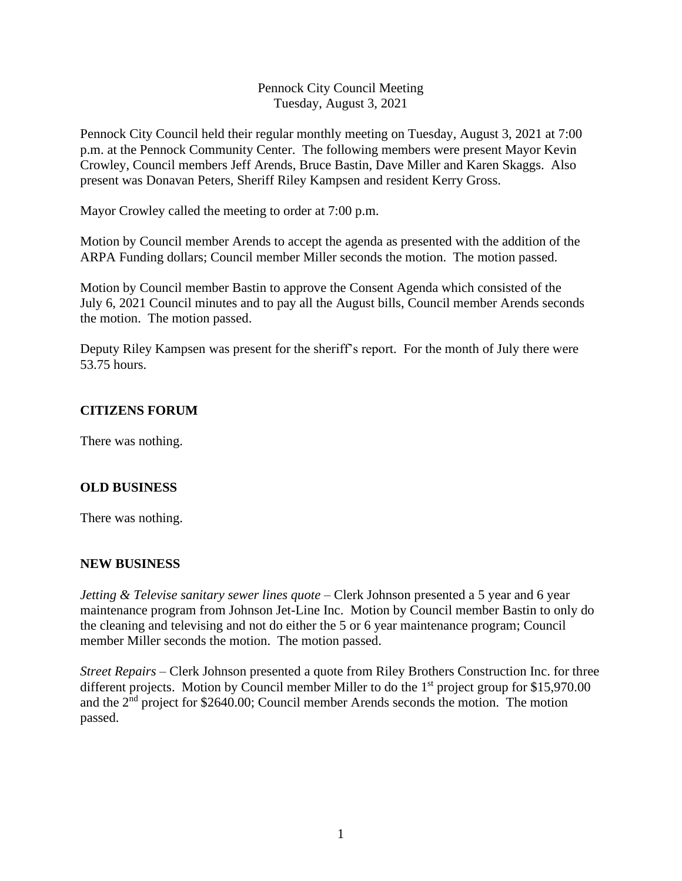## Pennock City Council Meeting Tuesday, August 3, 2021

Pennock City Council held their regular monthly meeting on Tuesday, August 3, 2021 at 7:00 p.m. at the Pennock Community Center. The following members were present Mayor Kevin Crowley, Council members Jeff Arends, Bruce Bastin, Dave Miller and Karen Skaggs. Also present was Donavan Peters, Sheriff Riley Kampsen and resident Kerry Gross.

Mayor Crowley called the meeting to order at 7:00 p.m.

Motion by Council member Arends to accept the agenda as presented with the addition of the ARPA Funding dollars; Council member Miller seconds the motion. The motion passed.

Motion by Council member Bastin to approve the Consent Agenda which consisted of the July 6, 2021 Council minutes and to pay all the August bills, Council member Arends seconds the motion. The motion passed.

Deputy Riley Kampsen was present for the sheriff's report. For the month of July there were 53.75 hours.

### **CITIZENS FORUM**

There was nothing.

### **OLD BUSINESS**

There was nothing.

### **NEW BUSINESS**

*Jetting & Televise sanitary sewer lines quote* – Clerk Johnson presented a 5 year and 6 year maintenance program from Johnson Jet-Line Inc. Motion by Council member Bastin to only do the cleaning and televising and not do either the 5 or 6 year maintenance program; Council member Miller seconds the motion. The motion passed.

*Street Repairs –* Clerk Johnson presented a quote from Riley Brothers Construction Inc. for three different projects. Motion by Council member Miller to do the 1<sup>st</sup> project group for \$15,970.00 and the 2<sup>nd</sup> project for \$2640.00; Council member Arends seconds the motion. The motion passed.